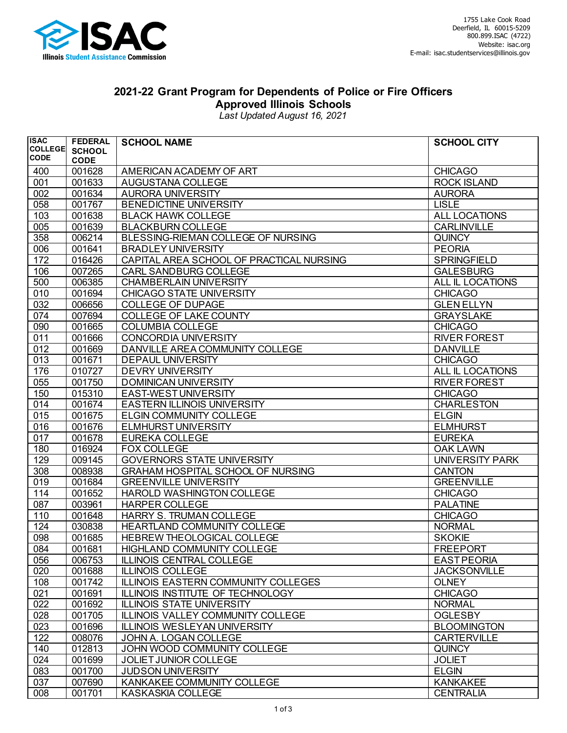

## **2021-22 Grant Program for Dependents of Police or Fire Officers Approved Illinois Schools**

*Last Updated August 16, 2021*

| <b>ISAC</b>                   | <b>FEDERAL</b> | <b>SCHOOL NAME</b>                       | <b>SCHOOL CITY</b>  |
|-------------------------------|----------------|------------------------------------------|---------------------|
| <b>COLLEGE</b><br><b>CODE</b> | <b>SCHOOL</b>  |                                          |                     |
|                               | <b>CODE</b>    |                                          |                     |
| 400                           | 001628         | AMERICAN ACADEMY OF ART                  | <b>CHICAGO</b>      |
| 001                           | 001633         | AUGUSTANA COLLEGE                        | <b>ROCK ISLAND</b>  |
| 002                           | 001634         | <b>AURORA UNIVERSITY</b>                 | <b>AURORA</b>       |
| 058                           | 001767         | <b>BENEDICTINE UNIVERSITY</b>            | <b>LISLE</b>        |
| 103                           | 001638         | <b>BLACK HAWK COLLEGE</b>                | ALL LOCATIONS       |
| 005                           | 001639         | <b>BLACKBURN COLLEGE</b>                 | <b>CARLINVILLE</b>  |
| 358                           | 006214         | BLESSING-RIEMAN COLLEGE OF NURSING       | <b>QUINCY</b>       |
| 006                           | 001641         | <b>BRADLEY UNIVERSITY</b>                | <b>PEORIA</b>       |
| 172                           | 016426         | CAPITAL AREA SCHOOL OF PRACTICAL NURSING | <b>SPRINGFIELD</b>  |
| 106                           | 007265         | <b>CARL SANDBURG COLLEGE</b>             | <b>GALESBURG</b>    |
| 500                           | 006385         | <b>CHAMBERLAIN UNIVERSITY</b>            | ALL IL LOCATIONS    |
| 010                           | 001694         | <b>CHICAGO STATE UNIVERSITY</b>          | <b>CHICAGO</b>      |
| 032                           | 006656         | <b>COLLEGE OF DUPAGE</b>                 | <b>GLEN ELLYN</b>   |
| 074                           | 007694         | <b>COLLEGE OF LAKE COUNTY</b>            | <b>GRAYSLAKE</b>    |
| 090                           | 001665         | <b>COLUMBIA COLLEGE</b>                  | <b>CHICAGO</b>      |
| 011                           | 001666         | <b>CONCORDIA UNIVERSITY</b>              | <b>RIVER FOREST</b> |
| 012                           | 001669         | DANVILLE AREA COMMUNITY COLLEGE          | <b>DANVILLE</b>     |
| 013                           | 001671         | <b>DEPAUL UNIVERSITY</b>                 | <b>CHICAGO</b>      |
| 176                           | 010727         | <b>DEVRY UNIVERSITY</b>                  | ALL IL LOCATIONS    |
| 055                           | 001750         | <b>DOMINICAN UNIVERSITY</b>              | <b>RIVER FOREST</b> |
| 150                           | 015310         | EAST-WEST UNIVERSITY                     | <b>CHICAGO</b>      |
| 014                           | 001674         | <b>EASTERN ILLINOIS UNIVERSITY</b>       | <b>CHARLESTON</b>   |
| 015                           | 001675         | <b>ELGIN COMMUNITY COLLEGE</b>           | <b>ELGIN</b>        |
| 016                           | 001676         | <b>ELMHURST UNIVERSITY</b>               | <b>ELMHURST</b>     |
| 017                           | 001678         | EUREKA COLLEGE                           | <b>EUREKA</b>       |
| 180                           | 016924         | <b>FOX COLLEGE</b>                       | <b>OAK LAWN</b>     |
| 129                           | 009145         | <b>GOVERNORS STATE UNIVERSITY</b>        | UNIVERSITY PARK     |
| 308                           | 008938         | <b>GRAHAM HOSPITAL SCHOOL OF NURSING</b> | <b>CANTON</b>       |
| 019                           | 001684         | <b>GREENVILLE UNIVERSITY</b>             | <b>GREENVILLE</b>   |
| 114                           | 001652         | HAROLD WASHINGTON COLLEGE                | <b>CHICAGO</b>      |
| 087                           | 003961         | <b>HARPER COLLEGE</b>                    | <b>PALATINE</b>     |
| 110                           | 001648         | HARRY S. TRUMAN COLLEGE                  | <b>CHICAGO</b>      |
| 124                           | 030838         | HEARTLAND COMMUNITY COLLEGE              | <b>NORMAL</b>       |
| 098                           | 001685         | HEBREW THEOLOGICAL COLLEGE               | <b>SKOKIE</b>       |
| 084                           | 001681         | <b>HIGHLAND COMMUNITY COLLEGE</b>        | <b>FREEPORT</b>     |
| 056                           | 006753         | <b>ILLINOIS CENTRAL COLLEGE</b>          | <b>EAST PEORIA</b>  |
| 020                           | 001688         | <b>ILLINOIS COLLEGE</b>                  | <b>JACKSONVILLE</b> |
| 108                           | 001742         | ILLINOIS EASTERN COMMUNITY COLLEGES      | <b>OLNEY</b>        |
| 021                           | 001691         | ILLINOIS INSTITUTE OF TECHNOLOGY         | <b>CHICAGO</b>      |
| 022                           | 001692         | <b>ILLINOIS STATE UNIVERSITY</b>         | <b>NORMAL</b>       |
| 028                           | 001705         | <b>ILLINOIS VALLEY COMMUNITY COLLEGE</b> | <b>OGLESBY</b>      |
| 023                           | 001696         | <b>ILLINOIS WESLEYAN UNIVERSITY</b>      | <b>BLOOMINGTON</b>  |
| 122                           | 008076         | JOHN A. LOGAN COLLEGE                    | <b>CARTERVILLE</b>  |
| 140                           | 012813         | JOHN WOOD COMMUNITY COLLEGE              | <b>QUINCY</b>       |
| 024                           | 001699         | <b>JOLIET JUNIOR COLLEGE</b>             | <b>JOLIET</b>       |
| 083                           | 001700         | <b>JUDSON UNIVERSITY</b>                 | <b>ELGIN</b>        |
| 037                           | 007690         | KANKAKEE COMMUNITY COLLEGE               | <b>KANKAKEE</b>     |
| 008                           | 001701         | KASKASKIA COLLEGE                        | <b>CENTRALIA</b>    |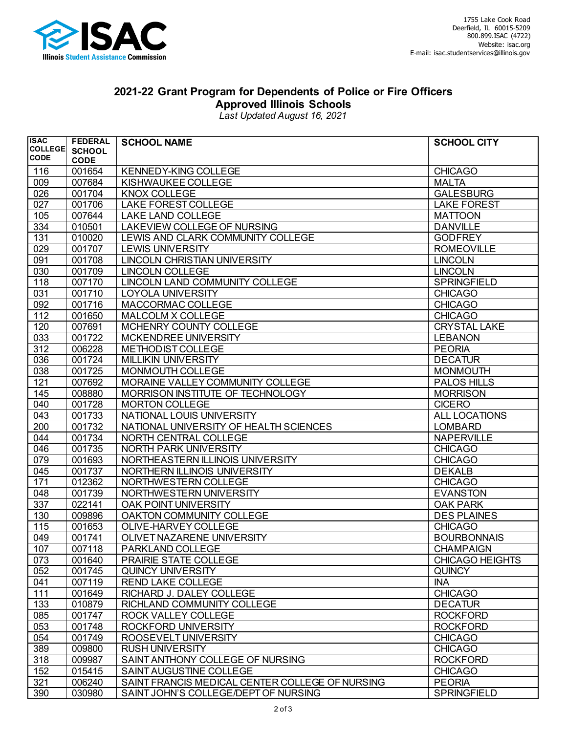

## **2021-22 Grant Program for Dependents of Police or Fire Officers Approved Illinois Schools**

*Last Updated August 16, 2021*

| <b>ISAC</b>    | <b>FEDERAL</b> | <b>SCHOOL NAME</b>                              | <b>SCHOOL CITY</b>     |
|----------------|----------------|-------------------------------------------------|------------------------|
| <b>COLLEGE</b> | <b>SCHOOL</b>  |                                                 |                        |
| <b>CODE</b>    | <b>CODE</b>    |                                                 |                        |
| 116            | 001654         | <b>KENNEDY-KING COLLEGE</b>                     | <b>CHICAGO</b>         |
| 009            | 007684         | KISHWAUKEE COLLEGE                              | <b>MALTA</b>           |
| 026            | 001704         | <b>KNOX COLLEGE</b>                             | <b>GALESBURG</b>       |
| 027            | 001706         | LAKE FOREST COLLEGE                             | <b>LAKE FOREST</b>     |
| 105            | 007644         | LAKE LAND COLLEGE                               | <b>MATTOON</b>         |
| 334            | 010501         | LAKEVIEW COLLEGE OF NURSING                     | <b>DANVILLE</b>        |
| 131            | 010020         | LEWIS AND CLARK COMMUNITY COLLEGE               | <b>GODFREY</b>         |
| 029            | 001707         | LEWIS UNIVERSITY                                | <b>ROMEOVILLE</b>      |
| 091            | 001708         | LINCOLN CHRISTIAN UNIVERSITY                    | <b>LINCOLN</b>         |
| 030            | 001709         | <b>LINCOLN COLLEGE</b>                          | <b>LINCOLN</b>         |
| 118            | 007170         | LINCOLN LAND COMMUNITY COLLEGE                  | <b>SPRINGFIELD</b>     |
| 031            | 001710         | <b>LOYOLA UNIVERSITY</b>                        | <b>CHICAGO</b>         |
| 092            | 001716         | MACCORMAC COLLEGE                               | <b>CHICAGO</b>         |
| 112            | 001650         | MALCOLM X COLLEGE                               | <b>CHICAGO</b>         |
| 120            | 007691         | MCHENRY COUNTY COLLEGE                          | <b>CRYSTAL LAKE</b>    |
| 033            | 001722         | MCKENDREE UNIVERSITY                            | <b>LEBANON</b>         |
| 312            | 006228         | <b>METHODIST COLLEGE</b>                        | <b>PEORIA</b>          |
| 036            | 001724         | <b>MILLIKIN UNIVERSITY</b>                      | <b>DECATUR</b>         |
| 038            | 001725         | MONMOUTH COLLEGE                                | <b>MONMOUTH</b>        |
| 121            | 007692         | MORAINE VALLEY COMMUNITY COLLEGE                | PALOS HILLS            |
| 145            | 008880         | MORRISON INSTITUTE OF TECHNOLOGY                | <b>MORRISON</b>        |
| 040            | 001728         | <b>MORTON COLLEGE</b>                           | <b>CICERO</b>          |
| 043            | 001733         | NATIONAL LOUIS UNIVERSITY                       | ALL LOCATIONS          |
| 200            | 001732         | NATIONAL UNIVERSITY OF HEALTH SCIENCES          | <b>LOMBARD</b>         |
| 044            | 001734         | NORTH CENTRAL COLLEGE                           | <b>NAPERVILLE</b>      |
| 046            | 001735         | NORTH PARK UNIVERSITY                           | <b>CHICAGO</b>         |
| 079            | 001693         | NORTHEASTERN ILLINOIS UNIVERSITY                | <b>CHICAGO</b>         |
| 045            | 001737         | NORTHERN ILLINOIS UNIVERSITY                    | <b>DEKALB</b>          |
| 171            | 012362         | NORTHWESTERN COLLEGE                            | <b>CHICAGO</b>         |
| 048            | 001739         | NORTHWESTERN UNIVERSITY                         | <b>EVANSTON</b>        |
| 337            | 022141         | OAK POINT UNIVERSITY                            | <b>OAK PARK</b>        |
| 130            | 009896         | OAKTON COMMUNITY COLLEGE                        | <b>DES PLAINES</b>     |
| 115            | 001653         | OLIVE-HARVEY COLLEGE                            | <b>CHICAGO</b>         |
| 049            | 001741         | OLIVET NAZARENE UNIVERSITY                      | <b>BOURBONNAIS</b>     |
| 107            | 007118         | PARKLAND COLLEGE                                | <b>CHAMPAIGN</b>       |
| 073            | 001640         | PRAIRIE STATE COLLEGE                           | <b>CHICAGO HEIGHTS</b> |
| 052            | 001745         | <b>QUINCY UNIVERSITY</b>                        | <b>QUINCY</b>          |
| 041            | 007119         | <b>REND LAKE COLLEGE</b>                        | <b>INA</b>             |
| 111            | 001649         | RICHARD J. DALEY COLLEGE                        | <b>CHICAGO</b>         |
| 133            | 010879         | RICHLAND COMMUNITY COLLEGE                      | <b>DECATUR</b>         |
| 085            | 001747         | ROCK VALLEY COLLEGE                             | <b>ROCKFORD</b>        |
| 053            | 001748         | ROCKFORD UNIVERSITY                             | <b>ROCKFORD</b>        |
| 054            | 001749         | ROOSEVELT UNIVERSITY                            | <b>CHICAGO</b>         |
| 389            | 009800         | <b>RUSH UNIVERSITY</b>                          | <b>CHICAGO</b>         |
| 318            | 009987         | SAINT ANTHONY COLLEGE OF NURSING                | <b>ROCKFORD</b>        |
| 152            | 015415         | SAINT AUGUSTINE COLLEGE                         | <b>CHICAGO</b>         |
| 321            | 006240         | SAINT FRANCIS MEDICAL CENTER COLLEGE OF NURSING | <b>PEORIA</b>          |
| 390            | 030980         | SAINT JOHN'S COLLEGE/DEPT OF NURSING            | <b>SPRINGFIELD</b>     |